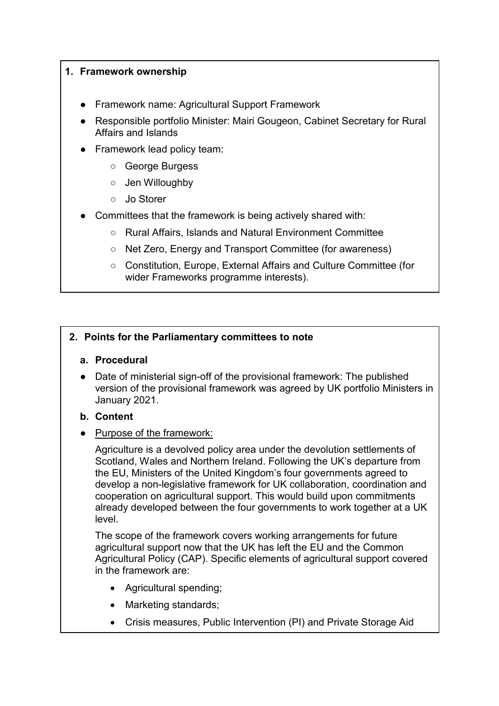## **1. Framework ownership**

- Framework name: Agricultural Support Framework
- **BEE AT ATT CONSTREY PROTTS IN A RESPONSITY PROT** Responsible portfolio Minister: Mairi Gabinet Secretary for Rural Affairs and Islands
- Framework lead policy team:
	- George Burgess
	- Jen Willoughby
	- Jo Storer
- Committees that the framework is being actively shared with:
	- Rural Affairs, Islands and Natural Environment Committee
	- Net Zero, Energy and Transport Committee (for awareness)
	- Constitution, Europe, External Affairs and Culture Committee (for wider Frameworks programme interests).

## **2. Points for the Parliamentary committees to note**

## **a. Procedural**

● Date of ministerial sign-off of the provisional framework: The published version of the provisional framework was agreed by UK portfolio Ministers in January 2021.

## **b. Content**

● Purpose of the framework:

Agriculture is a devolved policy area under the devolution settlements of Scotland, Wales and Northern Ireland. Following the UK's departure from the EU, Ministers of the United Kingdom's four governments agreed to develop a non-legislative framework for UK collaboration, coordination and cooperation on agricultural support. This would build upon commitments already developed between the four governments to work together at a UK level.

The scope of the framework covers working arrangements for future agricultural support now that the UK has left the EU and the Common Agricultural Policy (CAP). Specific elements of agricultural support covered in the framework are:

- Agricultural spending;
- Marketing standards;
- Crisis measures, Public Intervention (PI) and Private Storage Aid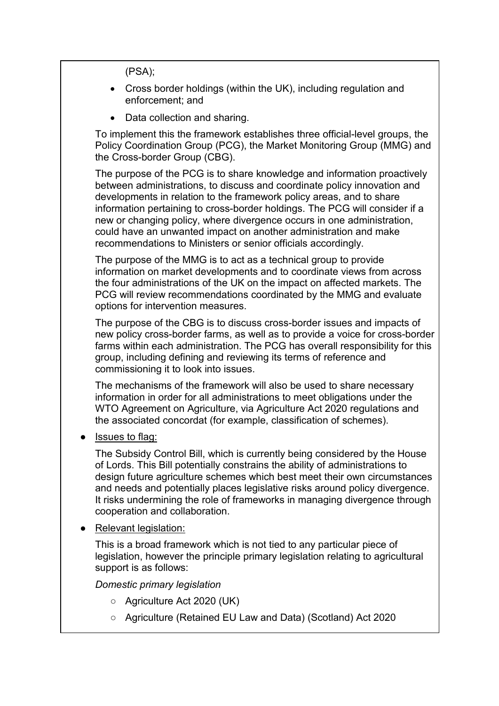(PSA);

- Cross border holdings (within the UK), including regulation and enforcement; and
- Data collection and sharing.

To implement this the framework establishes three official-level groups, the Policy Coordination Group (PCG), the Market Monitoring Group (MMG) and the Cross-border Group (CBG).

The purpose of the PCG is to share knowledge and information proactively between administrations, to discuss and coordinate policy innovation and developments in relation to the framework policy areas, and to share information pertaining to cross-border holdings. The PCG will consider if a new or changing policy, where divergence occurs in one administration, could have an unwanted impact on another administration and make recommendations to Ministers or senior officials accordingly.

The purpose of the MMG is to act as a technical group to provide information on market developments and to coordinate views from across the four administrations of the UK on the impact on affected markets. The PCG will review recommendations coordinated by the MMG and evaluate options for intervention measures.

The purpose of the CBG is to discuss cross-border issues and impacts of new policy cross-border farms, as well as to provide a voice for cross-border farms within each administration. The PCG has overall responsibility for this group, including defining and reviewing its terms of reference and commissioning it to look into issues.

The mechanisms of the framework will also be used to share necessary information in order for all administrations to meet obligations under the WTO Agreement on Agriculture, via Agriculture Act 2020 regulations and the associated concordat (for example, classification of schemes).

**Issues to flag:** 

The Subsidy Control Bill, which is currently being considered by the House of Lords. This Bill potentially constrains the ability of administrations to design future agriculture schemes which best meet their own circumstances and needs and potentially places legislative risks around policy divergence. It risks undermining the role of frameworks in managing divergence through cooperation and collaboration.

**Relevant legislation:** 

This is a broad framework which is not tied to any particular piece of legislation, however the principle primary legislation relating to agricultural support is as follows:

*Domestic primary legislation*

- Agriculture Act 2020 (UK)
- Agriculture (Retained EU Law and Data) (Scotland) Act 2020